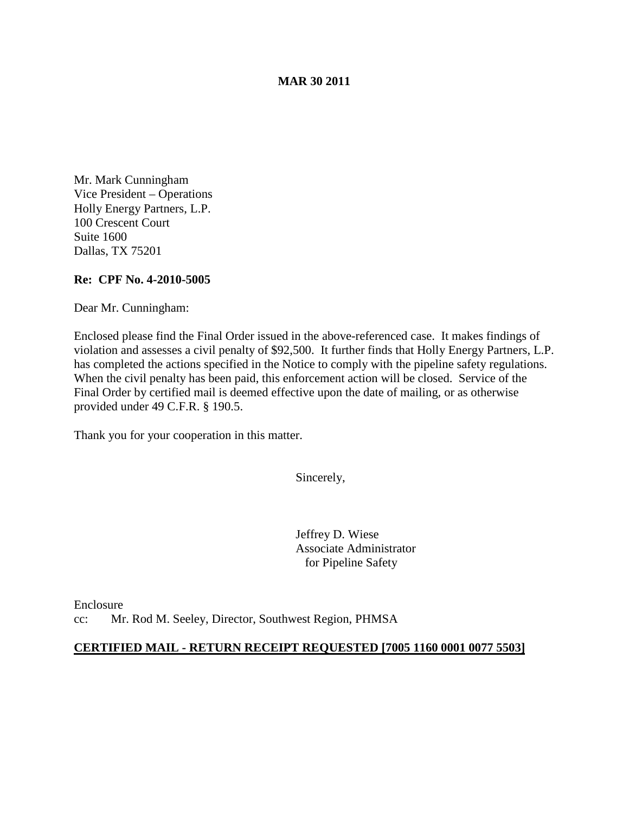#### **MAR 30 2011**

Mr. Mark Cunningham Vice President – Operations Holly Energy Partners, L.P. 100 Crescent Court Suite 1600 Dallas, TX 75201

### **Re: CPF No. 4-2010-5005**

Dear Mr. Cunningham:

Enclosed please find the Final Order issued in the above-referenced case. It makes findings of violation and assesses a civil penalty of \$92,500. It further finds that Holly Energy Partners, L.P. has completed the actions specified in the Notice to comply with the pipeline safety regulations. When the civil penalty has been paid, this enforcement action will be closed. Service of the Final Order by certified mail is deemed effective upon the date of mailing, or as otherwise provided under 49 C.F.R. § 190.5.

Thank you for your cooperation in this matter.

Sincerely,

Jeffrey D. Wiese Associate Administrator for Pipeline Safety

Enclosure cc: Mr. Rod M. Seeley, Director, Southwest Region, PHMSA

#### **CERTIFIED MAIL - RETURN RECEIPT REQUESTED [7005 1160 0001 0077 5503]**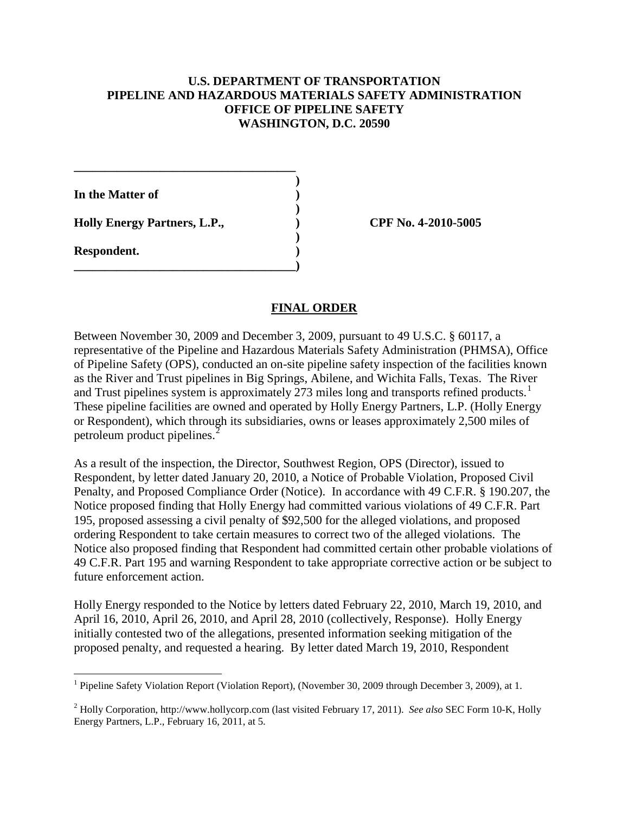# **U.S. DEPARTMENT OF TRANSPORTATION PIPELINE AND HAZARDOUS MATERIALS SAFETY ADMINISTRATION OFFICE OF PIPELINE SAFETY WASHINGTON, D.C. 20590**

**)**

**)**

**)**

**In the Matter of ) Holly Energy Partners, L.P., ) CPF No. 4-2010-5005**

**\_\_\_\_\_\_\_\_\_\_\_\_\_\_\_\_\_\_\_\_\_\_\_\_\_\_\_\_\_\_\_\_\_\_\_\_**

**\_\_\_\_\_\_\_\_\_\_\_\_\_\_\_\_\_\_\_\_\_\_\_\_\_\_\_\_\_\_\_\_\_\_\_\_)**

**Respondent. )**

### **FINAL ORDER**

Between November 30, 2009 and December 3, 2009, pursuant to 49 U.S.C. § 60117, a representative of the Pipeline and Hazardous Materials Safety Administration (PHMSA), Office of Pipeline Safety (OPS), conducted an on-site pipeline safety inspection of the facilities known as the River and Trust pipelines in Big Springs, Abilene, and Wichita Falls, Texas. The River and Trust pipelines system is approximately 273 miles long and transports refined products.<sup>[1](#page-1-0)</sup> These pipeline facilities are owned and operated by Holly Energy Partners, L.P. (Holly Energy or Respondent), which through its subsidiaries, owns or leases approximately 2,500 miles of petroleum product pipelines.<sup>[2](#page-1-1)</sup>

As a result of the inspection, the Director, Southwest Region, OPS (Director), issued to Respondent, by letter dated January 20, 2010, a Notice of Probable Violation, Proposed Civil Penalty, and Proposed Compliance Order (Notice). In accordance with 49 C.F.R. § 190.207, the Notice proposed finding that Holly Energy had committed various violations of 49 C.F.R. Part 195, proposed assessing a civil penalty of \$92,500 for the alleged violations, and proposed ordering Respondent to take certain measures to correct two of the alleged violations. The Notice also proposed finding that Respondent had committed certain other probable violations of 49 C.F.R. Part 195 and warning Respondent to take appropriate corrective action or be subject to future enforcement action.

Holly Energy responded to the Notice by letters dated February 22, 2010, March 19, 2010, and April 16, 2010, April 26, 2010, and April 28, 2010 (collectively, Response). Holly Energy initially contested two of the allegations, presented information seeking mitigation of the proposed penalty, and requested a hearing. By letter dated March 19, 2010, Respondent

<span id="page-1-0"></span><sup>&</sup>lt;sup>1</sup> Pipeline Safety Violation Report (Violation Report), (November 30, 2009 through December 3, 2009), at 1.

<span id="page-1-1"></span><sup>2</sup> Holly Corporation, [http://www.hollycorp.com](http://www.hollycorp.com/) (last visited February 17, 2011). *See also* SEC Form 10-K, Holly Energy Partners, L.P., February 16, 2011, at 5.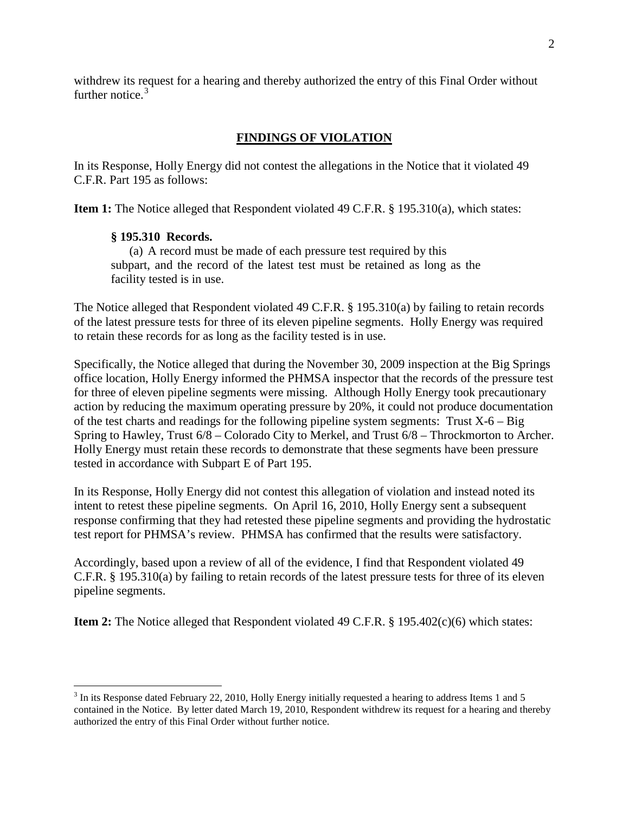withdrew its request for a hearing and thereby authorized the entry of this Final Order without further notice.<sup>[3](#page-2-0)</sup>

# **FINDINGS OF VIOLATION**

In its Response, Holly Energy did not contest the allegations in the Notice that it violated 49 C.F.R. Part 195 as follows:

**Item 1:** The Notice alleged that Respondent violated 49 C.F.R. § 195.310(a), which states:

# **§ 195.310 Records.**

(a) A record must be made of each pressure test required by this subpart, and the record of the latest test must be retained as long as the facility tested is in use.

The Notice alleged that Respondent violated 49 C.F.R. § 195.310(a) by failing to retain records of the latest pressure tests for three of its eleven pipeline segments. Holly Energy was required to retain these records for as long as the facility tested is in use.

Specifically, the Notice alleged that during the November 30, 2009 inspection at the Big Springs office location, Holly Energy informed the PHMSA inspector that the records of the pressure test for three of eleven pipeline segments were missing. Although Holly Energy took precautionary action by reducing the maximum operating pressure by 20%, it could not produce documentation of the test charts and readings for the following pipeline system segments: Trust  $X-6 - Big$ Spring to Hawley, Trust 6/8 – Colorado City to Merkel, and Trust 6/8 – Throckmorton to Archer. Holly Energy must retain these records to demonstrate that these segments have been pressure tested in accordance with Subpart E of Part 195.

In its Response, Holly Energy did not contest this allegation of violation and instead noted its intent to retest these pipeline segments. On April 16, 2010, Holly Energy sent a subsequent response confirming that they had retested these pipeline segments and providing the hydrostatic test report for PHMSA's review. PHMSA has confirmed that the results were satisfactory.

Accordingly, based upon a review of all of the evidence, I find that Respondent violated 49 C.F.R. § 195.310(a) by failing to retain records of the latest pressure tests for three of its eleven pipeline segments.

**Item 2:** The Notice alleged that Respondent violated 49 C.F.R. § 195.402(c)(6) which states:

<span id="page-2-0"></span><sup>&</sup>lt;sup>3</sup> In its Response dated February 22, 2010, Holly Energy initially requested a hearing to address Items 1 and 5 contained in the Notice. By letter dated March 19, 2010, Respondent withdrew its request for a hearing and thereby authorized the entry of this Final Order without further notice.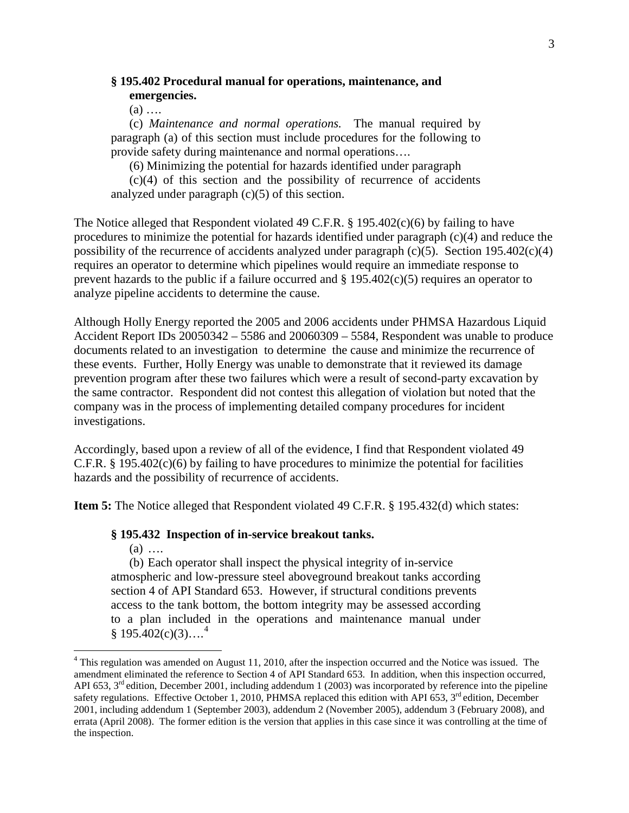# **§ 195.402 Procedural manual for operations, maintenance, and emergencies.**

 $(a)$  ...

(c) *Maintenance and normal operations.* The manual required by paragraph (a) of this section must include procedures for the following to provide safety during maintenance and normal operations….

(6) Minimizing the potential for hazards identified under paragraph

(c)(4) of this section and the possibility of recurrence of accidents analyzed under paragraph  $(c)(5)$  of this section.

The Notice alleged that Respondent violated 49 C.F.R. § 195.402(c)(6) by failing to have procedures to minimize the potential for hazards identified under paragraph (c)(4) and reduce the possibility of the recurrence of accidents analyzed under paragraph (c)(5). Section 195.402(c)(4) requires an operator to determine which pipelines would require an immediate response to prevent hazards to the public if a failure occurred and § 195.402(c)(5) requires an operator to analyze pipeline accidents to determine the cause.

Although Holly Energy reported the 2005 and 2006 accidents under PHMSA Hazardous Liquid Accident Report IDs 20050342 – 5586 and 20060309 – 5584, Respondent was unable to produce documents related to an investigation to determine the cause and minimize the recurrence of these events. Further, Holly Energy was unable to demonstrate that it reviewed its damage prevention program after these two failures which were a result of second-party excavation by the same contractor. Respondent did not contest this allegation of violation but noted that the company was in the process of implementing detailed company procedures for incident investigations.

Accordingly, based upon a review of all of the evidence, I find that Respondent violated 49 C.F.R. § 195.402(c)(6) by failing to have procedures to minimize the potential for facilities hazards and the possibility of recurrence of accidents.

**Item 5:** The Notice alleged that Respondent violated 49 C.F.R. § 195.432(d) which states:

#### **§ 195.432 Inspection of in-service breakout tanks.**

 $(a)$  ....

(b) Each operator shall inspect the physical integrity of in-service atmospheric and low-pressure steel aboveground breakout tanks according section 4 of API Standard 653. However, if structural conditions prevents access to the tank bottom, the bottom integrity may be assessed according to a plan included in the operations and maintenance manual under  $§ 195.402(c)(3)...<sup>4</sup>$  $§ 195.402(c)(3)...<sup>4</sup>$  $§ 195.402(c)(3)...<sup>4</sup>$ 

<span id="page-3-0"></span><sup>&</sup>lt;sup>4</sup> This regulation was amended on August 11, 2010, after the inspection occurred and the Notice was issued. The amendment eliminated the reference to Section 4 of API Standard 653. In addition, when this inspection occurred, API 653,  $3<sup>rd</sup>$  edition, December 2001, including addendum 1 (2003) was incorporated by reference into the pipeline safety regulations. Effective October 1, 2010, PHMSA replaced this edition with API 653,  $3<sup>rd</sup>$  edition, December 2001, including addendum 1 (September 2003), addendum 2 (November 2005), addendum 3 (February 2008), and errata (April 2008). The former edition is the version that applies in this case since it was controlling at the time of the inspection.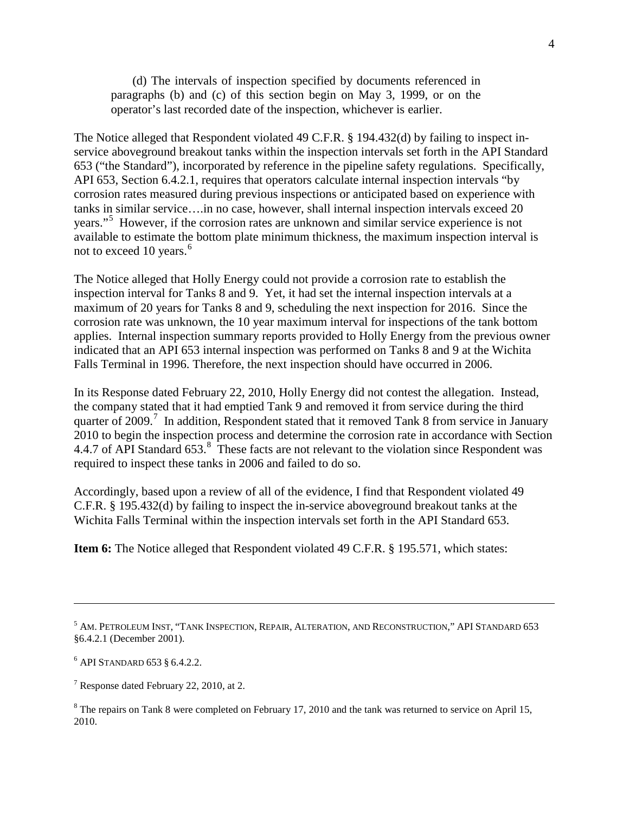(d) The intervals of inspection specified by documents referenced in paragraphs (b) and (c) of this section begin on May 3, 1999, or on the operator's last recorded date of the inspection, whichever is earlier.

The Notice alleged that Respondent violated 49 C.F.R. § 194.432(d) by failing to inspect inservice aboveground breakout tanks within the inspection intervals set forth in the API Standard 653 ("the Standard"), incorporated by reference in the pipeline safety regulations. Specifically, API 653, Section 6.4.2.1, requires that operators calculate internal inspection intervals "by corrosion rates measured during previous inspections or anticipated based on experience with tanks in similar service….in no case, however, shall internal inspection intervals exceed 20 years."<sup>[5](#page-4-0)</sup> However, if the corrosion rates are unknown and similar service experience is not available to estimate the bottom plate minimum thickness, the maximum inspection interval is not to exceed 10 years.<sup>[6](#page-4-1)</sup>

The Notice alleged that Holly Energy could not provide a corrosion rate to establish the inspection interval for Tanks 8 and 9. Yet, it had set the internal inspection intervals at a maximum of 20 years for Tanks 8 and 9, scheduling the next inspection for 2016. Since the corrosion rate was unknown, the 10 year maximum interval for inspections of the tank bottom applies. Internal inspection summary reports provided to Holly Energy from the previous owner indicated that an API 653 internal inspection was performed on Tanks 8 and 9 at the Wichita Falls Terminal in 1996. Therefore, the next inspection should have occurred in 2006.

In its Response dated February 22, 2010, Holly Energy did not contest the allegation. Instead, the company stated that it had emptied Tank 9 and removed it from service during the third quarter of 2009.<sup>[7](#page-4-2)</sup> In addition, Respondent stated that it removed Tank 8 from service in January 2010 to begin the inspection process and determine the corrosion rate in accordance with Section 4.4.7 of API Standard 653.<sup>[8](#page-4-3)</sup> These facts are not relevant to the violation since Respondent was required to inspect these tanks in 2006 and failed to do so.

Accordingly, based upon a review of all of the evidence, I find that Respondent violated 49 C.F.R. § 195.432(d) by failing to inspect the in-service aboveground breakout tanks at the Wichita Falls Terminal within the inspection intervals set forth in the API Standard 653.

**Item 6:** The Notice alleged that Respondent violated 49 C.F.R. § 195.571, which states:

 $\overline{a}$ 

<span id="page-4-0"></span><sup>&</sup>lt;sup>5</sup> AM. PETROLEUM INST, "TANK INSPECTION, REPAIR, ALTERATION, AND RECONSTRUCTION," API STANDARD 653 §6.4.2.1 (December 2001).

<span id="page-4-1"></span><sup>6</sup> API STANDARD 653 § 6.4.2.2.

<span id="page-4-2"></span> $<sup>7</sup>$  Response dated February 22, 2010, at 2.</sup>

<span id="page-4-3"></span><sup>&</sup>lt;sup>8</sup> The repairs on Tank 8 were completed on February 17, 2010 and the tank was returned to service on April 15, 2010.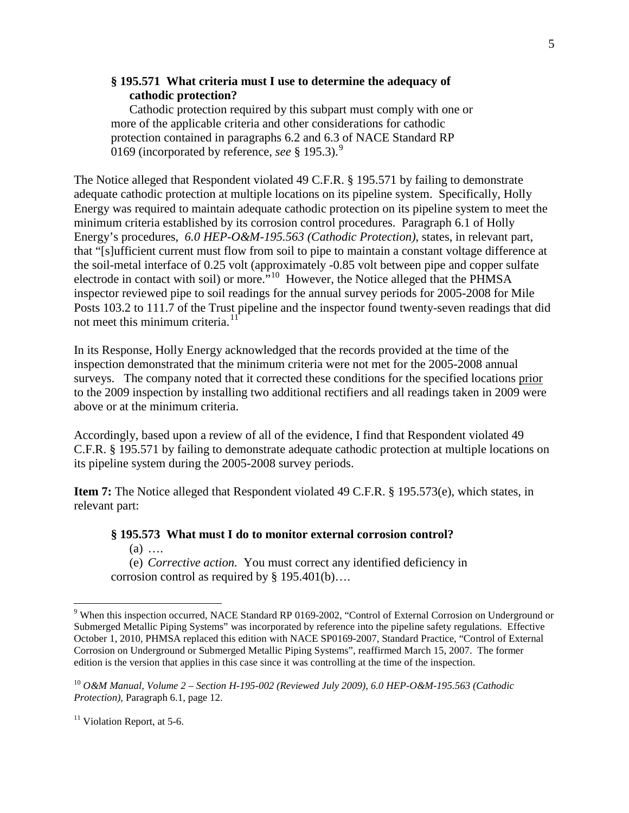# **§ 195.571 What criteria must I use to determine the adequacy of cathodic protection?**

Cathodic protection required by this subpart must comply with one or more of the applicable criteria and other considerations for cathodic protection contained in paragraphs 6.2 and 6.3 of NACE Standard RP 0169 (incorporated by reference, *see* § 195.3).[9](#page-5-0)

The Notice alleged that Respondent violated 49 C.F.R. § 195.571 by failing to demonstrate adequate cathodic protection at multiple locations on its pipeline system. Specifically, Holly Energy was required to maintain adequate cathodic protection on its pipeline system to meet the minimum criteria established by its corrosion control procedures. Paragraph 6.1 of Holly Energy's procedures, *6.0 HEP-O&M-195.563 (Cathodic Protection)*, states, in relevant part, that "[s]ufficient current must flow from soil to pipe to maintain a constant voltage difference at the soil-metal interface of 0.25 volt (approximately -0.85 volt between pipe and copper sulfate electrode in contact with soil) or more."[10](#page-5-1) However, the Notice alleged that the PHMSA inspector reviewed pipe to soil readings for the annual survey periods for 2005-2008 for Mile Posts 103.2 to 111.7 of the Trust pipeline and the inspector found twenty-seven readings that did not meet this minimum criteria. $^{11}$  $^{11}$  $^{11}$ 

In its Response, Holly Energy acknowledged that the records provided at the time of the inspection demonstrated that the minimum criteria were not met for the 2005-2008 annual surveys. The company noted that it corrected these conditions for the specified locations prior to the 2009 inspection by installing two additional rectifiers and all readings taken in 2009 were above or at the minimum criteria.

Accordingly, based upon a review of all of the evidence, I find that Respondent violated 49 C.F.R. § 195.571 by failing to demonstrate adequate cathodic protection at multiple locations on its pipeline system during the 2005-2008 survey periods.

**Item 7:** The Notice alleged that Respondent violated 49 C.F.R. § 195.573(e), which states, in relevant part:

#### **§ 195.573 What must I do to monitor external corrosion control?**  $(a)$  ....

(e) *Corrective action.* You must correct any identified deficiency in corrosion control as required by § 195.401(b)….

<span id="page-5-0"></span><sup>&</sup>lt;sup>9</sup> When this inspection occurred, NACE Standard RP 0169-2002, "Control of External Corrosion on Underground or Submerged Metallic Piping Systems" was incorporated by reference into the pipeline safety regulations. Effective October 1, 2010, PHMSA replaced this edition with NACE SP0169-2007, Standard Practice, "Control of External Corrosion on Underground or Submerged Metallic Piping Systems", reaffirmed March 15, 2007. The former edition is the version that applies in this case since it was controlling at the time of the inspection.

<span id="page-5-1"></span><sup>10</sup> *O&M Manual, Volume 2 – Section H-195-002 (Reviewed July 2009), 6.0 HEP-O&M-195.563 (Cathodic Protection),* Paragraph 6.1, page 12.

<span id="page-5-2"></span> $11$  Violation Report, at 5-6.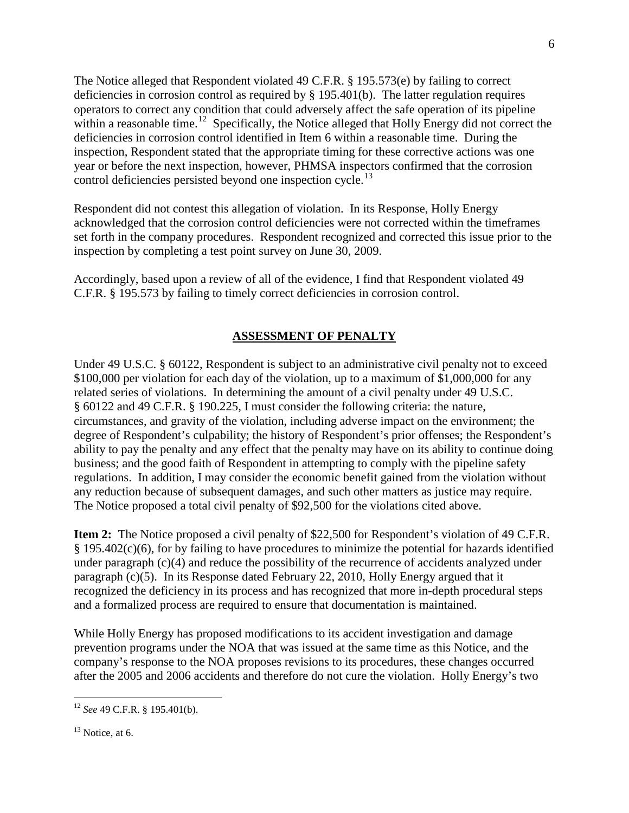The Notice alleged that Respondent violated 49 C.F.R. § 195.573(e) by failing to correct deficiencies in corrosion control as required by § 195.401(b). The latter regulation requires operators to correct any condition that could adversely affect the safe operation of its pipeline within a reasonable time.<sup>[12](#page-6-0)</sup> Specifically, the Notice alleged that Holly Energy did not correct the deficiencies in corrosion control identified in Item 6 within a reasonable time. During the inspection, Respondent stated that the appropriate timing for these corrective actions was one year or before the next inspection, however, PHMSA inspectors confirmed that the corrosion control deficiencies persisted beyond one inspection cycle.<sup>13</sup>

Respondent did not contest this allegation of violation. In its Response, Holly Energy acknowledged that the corrosion control deficiencies were not corrected within the timeframes set forth in the company procedures. Respondent recognized and corrected this issue prior to the inspection by completing a test point survey on June 30, 2009.

Accordingly, based upon a review of all of the evidence, I find that Respondent violated 49 C.F.R. § 195.573 by failing to timely correct deficiencies in corrosion control.

### **ASSESSMENT OF PENALTY**

Under 49 U.S.C. § 60122, Respondent is subject to an administrative civil penalty not to exceed \$100,000 per violation for each day of the violation, up to a maximum of \$1,000,000 for any related series of violations. In determining the amount of a civil penalty under 49 U.S.C. § 60122 and 49 C.F.R. § 190.225, I must consider the following criteria: the nature, circumstances, and gravity of the violation, including adverse impact on the environment; the degree of Respondent's culpability; the history of Respondent's prior offenses; the Respondent's ability to pay the penalty and any effect that the penalty may have on its ability to continue doing business; and the good faith of Respondent in attempting to comply with the pipeline safety regulations. In addition, I may consider the economic benefit gained from the violation without any reduction because of subsequent damages, and such other matters as justice may require. The Notice proposed a total civil penalty of \$92,500 for the violations cited above.

**Item 2:** The Notice proposed a civil penalty of \$22,500 for Respondent's violation of 49 C.F.R. § 195.402(c)(6), for by failing to have procedures to minimize the potential for hazards identified under paragraph (c)(4) and reduce the possibility of the recurrence of accidents analyzed under paragraph (c)(5). In its Response dated February 22, 2010, Holly Energy argued that it recognized the deficiency in its process and has recognized that more in-depth procedural steps and a formalized process are required to ensure that documentation is maintained.

While Holly Energy has proposed modifications to its accident investigation and damage prevention programs under the NOA that was issued at the same time as this Notice, and the company's response to the NOA proposes revisions to its procedures, these changes occurred after the 2005 and 2006 accidents and therefore do not cure the violation. Holly Energy's two

<span id="page-6-0"></span> <sup>12</sup> *See* 49 C.F.R. § 195.401(b).

<span id="page-6-1"></span> $13$  Notice, at 6.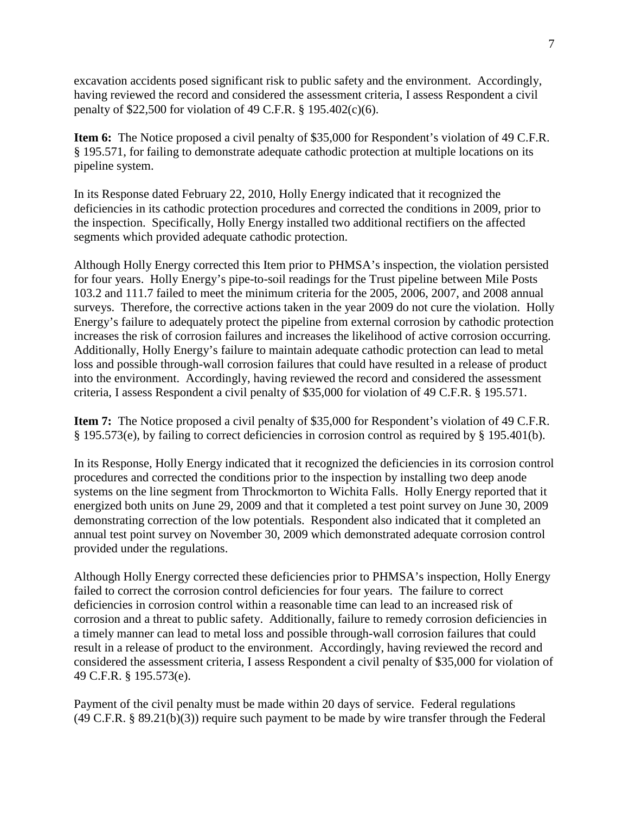excavation accidents posed significant risk to public safety and the environment. Accordingly, having reviewed the record and considered the assessment criteria, I assess Respondent a civil penalty of \$22,500 for violation of 49 C.F.R. § 195.402(c)(6).

**Item 6:** The Notice proposed a civil penalty of \$35,000 for Respondent's violation of 49 C.F.R. § 195.571, for failing to demonstrate adequate cathodic protection at multiple locations on its pipeline system.

In its Response dated February 22, 2010, Holly Energy indicated that it recognized the deficiencies in its cathodic protection procedures and corrected the conditions in 2009, prior to the inspection. Specifically, Holly Energy installed two additional rectifiers on the affected segments which provided adequate cathodic protection.

Although Holly Energy corrected this Item prior to PHMSA's inspection, the violation persisted for four years. Holly Energy's pipe-to-soil readings for the Trust pipeline between Mile Posts 103.2 and 111.7 failed to meet the minimum criteria for the 2005, 2006, 2007, and 2008 annual surveys. Therefore, the corrective actions taken in the year 2009 do not cure the violation. Holly Energy's failure to adequately protect the pipeline from external corrosion by cathodic protection increases the risk of corrosion failures and increases the likelihood of active corrosion occurring. Additionally, Holly Energy's failure to maintain adequate cathodic protection can lead to metal loss and possible through-wall corrosion failures that could have resulted in a release of product into the environment. Accordingly, having reviewed the record and considered the assessment criteria, I assess Respondent a civil penalty of \$35,000 for violation of 49 C.F.R. § 195.571.

**Item 7:** The Notice proposed a civil penalty of \$35,000 for Respondent's violation of 49 C.F.R. § 195.573(e), by failing to correct deficiencies in corrosion control as required by § 195.401(b).

In its Response, Holly Energy indicated that it recognized the deficiencies in its corrosion control procedures and corrected the conditions prior to the inspection by installing two deep anode systems on the line segment from Throckmorton to Wichita Falls. Holly Energy reported that it energized both units on June 29, 2009 and that it completed a test point survey on June 30, 2009 demonstrating correction of the low potentials. Respondent also indicated that it completed an annual test point survey on November 30, 2009 which demonstrated adequate corrosion control provided under the regulations.

Although Holly Energy corrected these deficiencies prior to PHMSA's inspection, Holly Energy failed to correct the corrosion control deficiencies for four years. The failure to correct deficiencies in corrosion control within a reasonable time can lead to an increased risk of corrosion and a threat to public safety. Additionally, failure to remedy corrosion deficiencies in a timely manner can lead to metal loss and possible through-wall corrosion failures that could result in a release of product to the environment. Accordingly, having reviewed the record and considered the assessment criteria, I assess Respondent a civil penalty of \$35,000 for violation of 49 C.F.R. § 195.573(e).

Payment of the civil penalty must be made within 20 days of service. Federal regulations (49 C.F.R. § 89.21(b)(3)) require such payment to be made by wire transfer through the Federal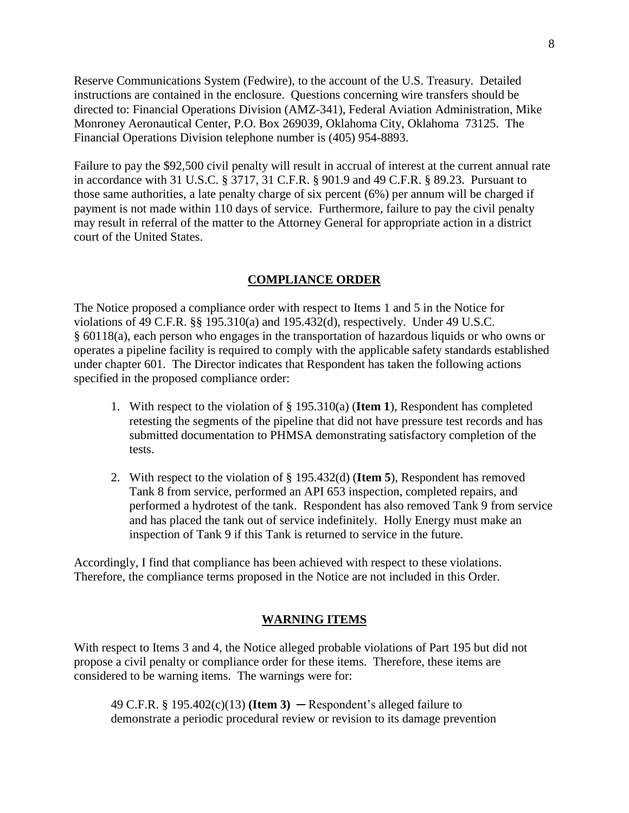Reserve Communications System (Fedwire), to the account of the U.S. Treasury. Detailed instructions are contained in the enclosure. Questions concerning wire transfers should be directed to: Financial Operations Division (AMZ-341), Federal Aviation Administration, Mike Monroney Aeronautical Center, P.O. Box 269039, Oklahoma City, Oklahoma 73125. The Financial Operations Division telephone number is (405) 954-8893.

Failure to pay the \$92,500 civil penalty will result in accrual of interest at the current annual rate in accordance with 31 U.S.C. § 3717, 31 C.F.R. § 901.9 and 49 C.F.R. § 89.23. Pursuant to those same authorities, a late penalty charge of six percent (6%) per annum will be charged if payment is not made within 110 days of service. Furthermore, failure to pay the civil penalty may result in referral of the matter to the Attorney General for appropriate action in a district court of the United States.

### **COMPLIANCE ORDER**

The Notice proposed a compliance order with respect to Items 1 and 5 in the Notice for violations of 49 C.F.R. §§ 195.310(a) and 195.432(d), respectively. Under 49 U.S.C. § 60118(a), each person who engages in the transportation of hazardous liquids or who owns or operates a pipeline facility is required to comply with the applicable safety standards established under chapter 601. The Director indicates that Respondent has taken the following actions specified in the proposed compliance order:

- 1. With respect to the violation of § 195.310(a) (**Item 1**), Respondent has completed retesting the segments of the pipeline that did not have pressure test records and has submitted documentation to PHMSA demonstrating satisfactory completion of the tests.
- 2. With respect to the violation of § 195.432(d) (**Item 5**), Respondent has removed Tank 8 from service, performed an API 653 inspection, completed repairs, and performed a hydrotest of the tank. Respondent has also removed Tank 9 from service and has placed the tank out of service indefinitely. Holly Energy must make an inspection of Tank 9 if this Tank is returned to service in the future.

Accordingly, I find that compliance has been achieved with respect to these violations. Therefore, the compliance terms proposed in the Notice are not included in this Order.

#### **WARNING ITEMS**

With respect to Items 3 and 4, the Notice alleged probable violations of Part 195 but did not propose a civil penalty or compliance order for these items. Therefore, these items are considered to be warning items. The warnings were for:

49 C.F.R. §  $195.402(c)(13)$  (**Item 3**) — Respondent's alleged failure to demonstrate a periodic procedural review or revision to its damage prevention